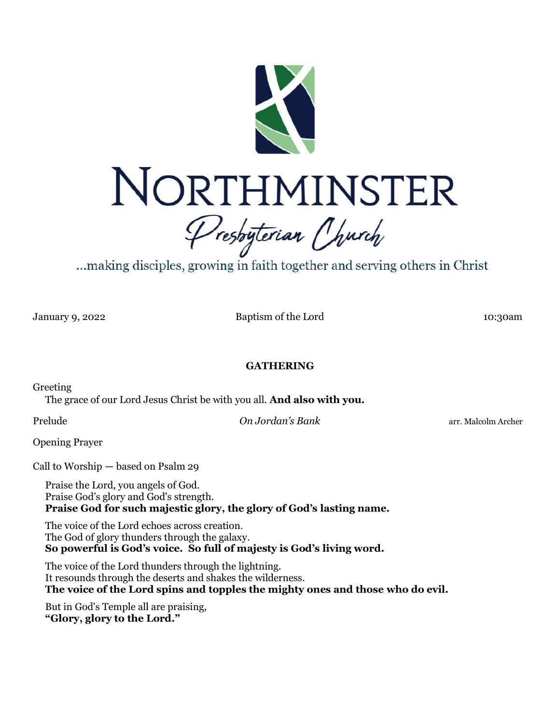

...making disciples, growing in faith together and serving others in Christ

January 9, 2022 Baptism of the Lord 10:30am

## **GATHERING**

Greeting

The grace of our Lord Jesus Christ be with you all. **And also with you.**

Prelude *On Jordan's Bank* arr. Malcolm Archer

Opening Prayer

Call to Worship — based on Psalm 29

Praise the Lord, you angels of God. Praise God's glory and God's strength. **Praise God for such majestic glory, the glory of God's lasting name.**

The voice of the Lord echoes across creation. The God of glory thunders through the galaxy. **So powerful is God's voice. So full of majesty is God's living word.**

The voice of the Lord thunders through the lightning. It resounds through the deserts and shakes the wilderness. **The voice of the Lord spins and topples the mighty ones and those who do evil.**

But in God's Temple all are praising, **"Glory, glory to the Lord."**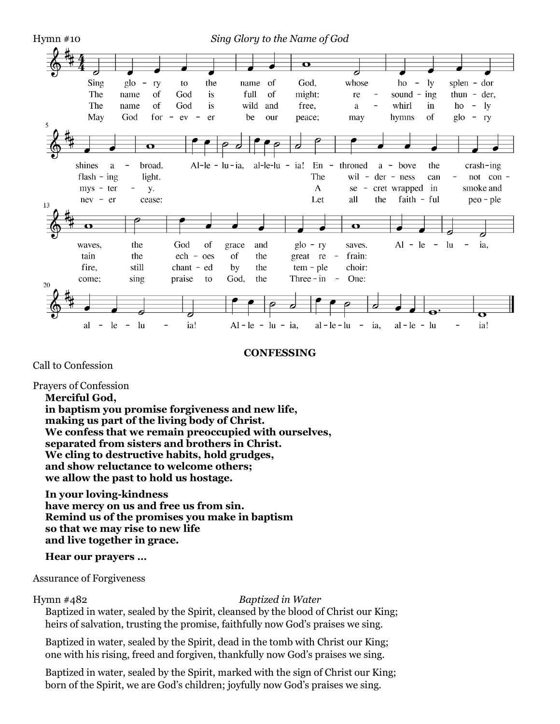

#### **CONFESSING**

Call to Confession

Prayers of Confession

**Merciful God,**

**in baptism you promise forgiveness and new life, making us part of the living body of Christ. We confess that we remain preoccupied with ourselves, separated from sisters and brothers in Christ. We cling to destructive habits, hold grudges, and show reluctance to welcome others; we allow the past to hold us hostage.**

**In your loving-kindness**

**have mercy on us and free us from sin. Remind us of the promises you make in baptism so that we may rise to new life and live together in grace.**

**Hear our prayers …**

Assurance of Forgiveness

Hymn #482 *Baptized in Water*

Baptized in water, sealed by the Spirit, cleansed by the blood of Christ our King; heirs of salvation, trusting the promise, faithfully now God's praises we sing.

Baptized in water, sealed by the Spirit, dead in the tomb with Christ our King; one with his rising, freed and forgiven, thankfully now God's praises we sing.

Baptized in water, sealed by the Spirit, marked with the sign of Christ our King; born of the Spirit, we are God's children; joyfully now God's praises we sing.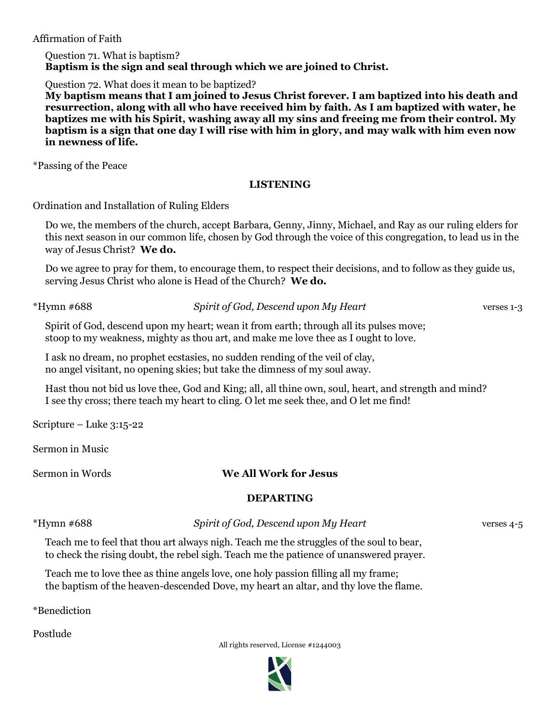Affirmation of Faith

Question 71. What is baptism? **Baptism is the sign and seal through which we are joined to Christ.**

Question 72. What does it mean to be baptized?

**My baptism means that I am joined to Jesus Christ forever. I am baptized into his death and resurrection, along with all who have received him by faith. As I am baptized with water, he baptizes me with his Spirit, washing away all my sins and freeing me from their control. My baptism is a sign that one day I will rise with him in glory, and may walk with him even now in newness of life.**

\*Passing of the Peace

## **LISTENING**

Ordination and Installation of Ruling Elders

Do we, the members of the church, accept Barbara, Genny, Jinny, Michael, and Ray as our ruling elders for this next season in our common life, chosen by God through the voice of this congregation, to lead us in the way of Jesus Christ? **We do.**

Do we agree to pray for them, to encourage them, to respect their decisions, and to follow as they guide us, serving Jesus Christ who alone is Head of the Church? **We do.**

\*Hymn #688 *Spirit of God, Descend upon My Heart* verses 1-3

Spirit of God, descend upon my heart; wean it from earth; through all its pulses move; stoop to my weakness, mighty as thou art, and make me love thee as I ought to love.

I ask no dream, no prophet ecstasies, no sudden rending of the veil of clay, no angel visitant, no opening skies; but take the dimness of my soul away.

Hast thou not bid us love thee, God and King; all, all thine own, soul, heart, and strength and mind? I see thy cross; there teach my heart to cling. O let me seek thee, and O let me find!

Scripture – Luke 3:15-22

Sermon in Music

# Sermon in Words **We All Work for Jesus**

# **DEPARTING**

\*Hymn #688 *Spirit of God, Descend upon My Heart* verses 4-5

Teach me to feel that thou art always nigh. Teach me the struggles of the soul to bear, to check the rising doubt, the rebel sigh. Teach me the patience of unanswered prayer.

Teach me to love thee as thine angels love, one holy passion filling all my frame; the baptism of the heaven-descended Dove, my heart an altar, and thy love the flame.

\*Benediction

Postlude

All rights reserved, License #1244003